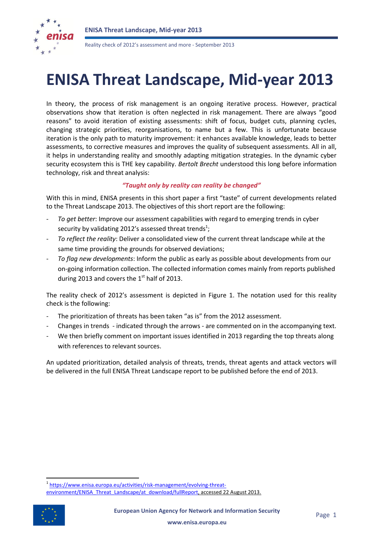

Reality check of 2012's assessment and more - September 2013

# **ENISA Threat Landscape, Mid-year 2013**

In theory, the process of risk management is an ongoing iterative process. However, practical observations show that iteration is often neglected in risk management. There are always "good reasons" to avoid iteration of existing assessments: shift of focus, budget cuts, planning cycles, changing strategic priorities, reorganisations, to name but a few. This is unfortunate because iteration is the only path to maturity improvement: it enhances available knowledge, leads to better assessments, to corrective measures and improves the quality of subsequent assessments. All in all, it helps in understanding reality and smoothly adapting mitigation strategies. In the dynamic cyber security ecosystem this is THE key capability. *Bertolt Brecht* understood this long before information technology, risk and threat analysis:

### *"Taught only by reality can reality be changed"*

With this in mind, ENISA presents in this short paper a first "taste" of current developments related to the Threat Landscape 2013. The objectives of this short report are the following:

- To get better: Improve our assessment capabilities with regard to emerging trends in cyber security by validating 2012's assessed threat trends<sup>1</sup>;
- *To reflect the reality*: Deliver a consolidated view of the current threat landscape while at the same time providing the grounds for observed deviations;
- *To flag new developments*: Inform the public as early as possible about developments from our on-going information collection. The collected information comes mainly from reports published during 2013 and covers the  $1<sup>st</sup>$  half of 2013.

The reality check of 2012's assessment is depicted in [Figure 1.](#page-1-0) The notation used for this reality check is the following:

- The prioritization of threats has been taken "as is" from the 2012 assessment.
- Changes in trends indicated through the arrows are commented on in the accompanying text.
- We then briefly comment on important issues identified in 2013 regarding the top threats along with references to relevant sources.

An updated prioritization, detailed analysis of threats, trends, threat agents and attack vectors will be delivered in the full ENISA Threat Landscape report to be published before the end of 2013.

<sup>&</sup>lt;sup>1</sup> [https://www.enisa.europa.eu/activities/risk-management/evolving-threat](https://www.enisa.europa.eu/activities/risk-management/evolving-threat-environment/ENISA_Threat_Landscape/at_download/fullReport)[environment/ENISA\\_Threat\\_Landscape/at\\_download/fullReport,](https://www.enisa.europa.eu/activities/risk-management/evolving-threat-environment/ENISA_Threat_Landscape/at_download/fullReport) accessed 22 August 2013.



**.**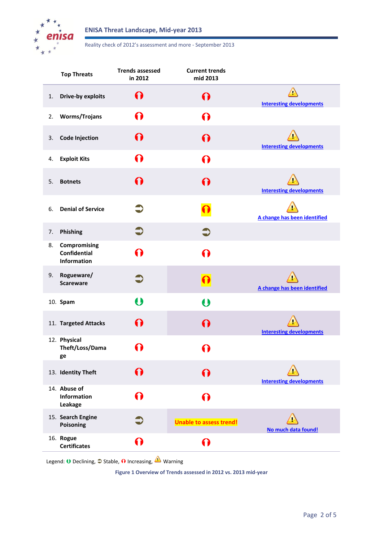

#### Reality check of 2012's assessment and more - September 2013

|    | <b>Top Threats</b>                                 | <b>Trends assessed</b><br>in 2012 | <b>Current trends</b><br>mid 2013 |                                                     |
|----|----------------------------------------------------|-----------------------------------|-----------------------------------|-----------------------------------------------------|
| 1. | <b>Drive-by exploits</b>                           | ∩                                 | ∩                                 | $\bigtriangleup$<br><b>Interesting developments</b> |
| 2. | <b>Worms/Trojans</b>                               | ∩                                 | ∩                                 |                                                     |
| 3. | <b>Code Injection</b>                              | 6)                                | ∩                                 | <b>Interesting developments</b>                     |
| 4. | <b>Exploit Kits</b>                                | 0                                 | ∩                                 |                                                     |
| 5. | <b>Botnets</b>                                     | 0                                 | ∩                                 | <b>Interesting developments</b>                     |
| 6. | <b>Denial of Service</b>                           |                                   |                                   | A change has been identified                        |
| 7. | Phishing                                           | $\bigcirc$                        | $\bullet$                         |                                                     |
| 8. | Compromising<br><b>Confidential</b><br>Information | Ω                                 | ∩                                 |                                                     |
| 9. | Rogueware/<br><b>Scareware</b>                     |                                   |                                   | A change has been identified                        |
|    | 10. Spam                                           | $\boldsymbol{\theta}$             | $\boldsymbol{\Theta}$             |                                                     |
|    | 11. Targeted Attacks                               | 6)                                | ∩                                 | <b>Interesting developments</b>                     |
|    | 12. Physical<br>Theft/Loss/Dama<br>ge              |                                   |                                   |                                                     |
|    | 13. Identity Theft                                 | ∩                                 | ∩                                 | <b>Interesting developments</b>                     |
|    | 14. Abuse of<br><b>Information</b><br>Leakage      | ∩                                 | ∩                                 |                                                     |
|    | 15. Search Engine<br>Poisoning                     | Э                                 | <b>Unable to assess trend!</b>    | No much data found!                                 |
|    | 16. Rogue<br><b>Certificates</b>                   | $\mathbf \Omega$                  | ∩                                 |                                                     |

<span id="page-1-0"></span>Legend:  $\bigcup$  Declining,  $\bigcirc$  Stable,  $\bigcirc$  Increasing,  $\bigcirc$  Warning

**Figure 1 Overview of Trends assessed in 2012 vs. 2013 mid-year**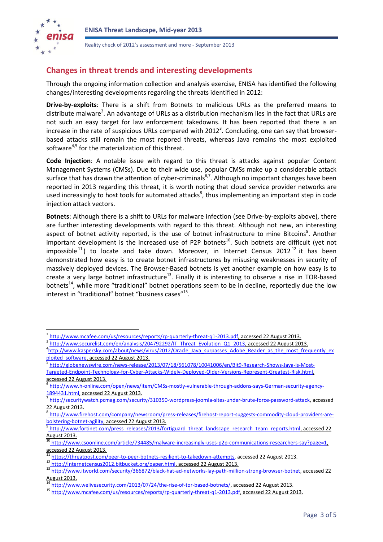

Reality check of 2012's assessment and more - September 2013

## **Changes in threat trends and interesting developments**

Through the ongoing information collection and analysis exercise, ENISA has identified the following changes/interesting developments regarding the threats identified in 2012:

**Drive-by-exploits**: There is a shift from Botnets to malicious URLs as the preferred means to distribute malware<sup>2</sup>. An advantage of URLs as a distribution mechanism lies in the fact that URLs are not such an easy target for law enforcement takedowns. It has been reported that there is an increase in the rate of suspicious URLs compared with  $2012<sup>3</sup>$ . Concluding, one can say that browserbased attacks still remain the most repored threats, whereas Java remains the most exploited software<sup>4,5</sup> for the materialization of this threat.

<span id="page-2-0"></span>**Code Injection**: A notable issue with regard to this threat is attacks against popular Content Management Systems (CMSs). Due to their wide use, popular CMSs make up a considerable attack surface that has drawn the attention of cyber-criminals<sup>6,7</sup>. Although no important changes have been reported in 2013 regarding this threat, it is worth noting that cloud service provider networks are used increasingly to host tools for automated attacks<sup>8</sup>, thus implementing an important step in code injection attack vectors.

<span id="page-2-1"></span>**Botnets**: Although there is a shift to URLs for malware infection (see Drive-by-exploits above), there are further interesting developments with regard to this threat. Although not new, an interesting aspect of botnet activity reported, is the use of botnet infrastructure to mine Bitcoins<sup>9</sup>. Another important development is the increased use of P2P botnets<sup>10</sup>. Such botnets are difficult (yet not impossible<sup>11</sup>) to locate and take down. Moreover, in Internet Census 2012<sup>12</sup> it has been demonstrated how easy is to create botnet infrastructures by misusing weaknesses in security of massively deployed devices. The Browser-Based botnets is yet another example on how easy is to create a very large botnet infrastructure<sup>13</sup>. Finally it is interesting to observe a rise in TOR-based botnets<sup>14</sup>, while more "traditional" botnet operations seem to be in decline, reportedly due the low interest in "traditional" botnet "business cases"<sup>15</sup>.

<span id="page-2-2"></span> 2 http://www.mcafee.com/us/resources/reports/rp-quarterly-threat-q1-2013.pdf, accessed 22 August 2013.

<sup>3</sup> [http://www.securelist.com/en/analysis/204792292/IT\\_Threat\\_Evolution\\_Q1\\_2013,](http://www.securelist.com/en/analysis/204792292/IT_Threat_Evolution_Q1_2013) accessed 22 August 2013.

<sup>&</sup>lt;sup>4</sup>[http://www.kaspersky.com/about/news/virus/2012/Oracle\\_Java\\_surpasses\\_Adobe\\_Reader\\_as\\_the\\_most\\_frequently\\_ex](http://www.kaspersky.com/about/news/virus/2012/Oracle_Java_surpasses_Adobe_Reader_as_the_most_frequently_exploited_software) [ploited\\_software,](http://www.kaspersky.com/about/news/virus/2012/Oracle_Java_surpasses_Adobe_Reader_as_the_most_frequently_exploited_software) accessed 22 August 2013.

[http://globenewswire.com/news-release/2013/07/18/561078/10041006/en/Bit9-Research-Shows-Java-is-Most-](http://globenewswire.com/news-release/2013/07/18/561078/10041006/en/Bit9-Research-Shows-Java-is-Most-Targeted-Endpoint-Technology-for-Cyber-Attacks-Widely-Deployed-Older-Versions-Represent-Greatest-Risk.html)[Targeted-Endpoint-Technology-for-Cyber-Attacks-Widely-Deployed-Older-Versions-Represent-Greatest-Risk.html,](http://globenewswire.com/news-release/2013/07/18/561078/10041006/en/Bit9-Research-Shows-Java-is-Most-Targeted-Endpoint-Technology-for-Cyber-Attacks-Widely-Deployed-Older-Versions-Represent-Greatest-Risk.html) accessed 22 August 2013.

<sup>6</sup> [http://www.h-online.com/open/news/item/CMSs-mostly-vulnerable-through-addons-says-German-security-agency-](http://www.h-online.com/open/news/item/CMSs-mostly-vulnerable-through-addons-says-German-security-agency-1894431.html)[1894431.html,](http://www.h-online.com/open/news/item/CMSs-mostly-vulnerable-through-addons-says-German-security-agency-1894431.html) accessed 22 August 2013.

[http://securitywatch.pcmag.com/security/310350-wordpress-joomla-sites-under-brute-force-password-attack,](http://securitywatch.pcmag.com/security/310350-wordpress-joomla-sites-under-brute-force-password-attack) accessed 22 August 2013.

[http://www.firehost.com/company/newsroom/press-releases/firehost-report-suggests-commodity-cloud-providers-are](http://www.firehost.com/company/newsroom/press-releases/firehost-report-suggests-commodity-cloud-providers-are-bolstering-botnet-agility)[bolstering-botnet-agility,](http://www.firehost.com/company/newsroom/press-releases/firehost-report-suggests-commodity-cloud-providers-are-bolstering-botnet-agility) accessed 22 August 2013.

<sup>&</sup>lt;sup>9</sup> [http://www.fortinet.com/press\\_releases/2013/fortiguard\\_threat\\_landscape\\_research\\_team\\_reports.html,](http://www.fortinet.com/press_releases/2013/fortiguard_threat_landscape_research_team_reports.html) accessed 22 August 2013.

<sup>10</sup> [http://www.csoonline.com/article/734485/malware-increasingly-uses-p2p-communications-researchers-say?page=1,](http://www.csoonline.com/article/734485/malware-increasingly-uses-p2p-communications-researchers-say?page=1)  accessed 22 August 2013.

<sup>11</sup> [https://threatpost.com/peer-to-peer-botnets-resilient-to-takedown-attempts,](https://threatpost.com/peer-to-peer-botnets-resilient-to-takedown-attempts) accessed 22 August 2013.

<sup>12</sup> [http://internetcensus2012.bitbucket.org/paper.html,](http://internetcensus2012.bitbucket.org/paper.html) accessed 22 August 2013.

<sup>13</sup> [http://www.itworld.com/security/366872/black-hat-ad-networks-lay-path-million-strong-browser-botnet,](http://www.itworld.com/security/366872/black-hat-ad-networks-lay-path-million-strong-browser-botnet) accessed 22 August 2013.

[http://www.welivesecurity.com/2013/07/24/the-rise-of-tor-based-botnets/,](http://www.welivesecurity.com/2013/07/24/the-rise-of-tor-based-botnets/) accessed 22 August 2013.

<sup>15</sup> [http://www.mcafee.com/us/resources/reports/rp-quarterly-threat-q1-2013.pdf,](http://www.mcafee.com/us/resources/reports/rp-quarterly-threat-q1-2013.pdf) accessed 22 August 2013.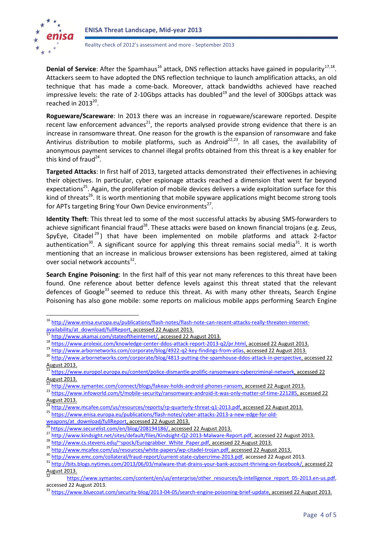

**.** 

<span id="page-3-4"></span>Reality check of 2012's assessment and more - September 2013

Denial of Service: After the Spamhaus<sup>16</sup> attack, DNS reflection attacks have gained in popularity<sup>17,18</sup>. Attackers seem to have adopted the DNS reflection technique to launch amplification attacks, an old technique that has made a come-back. Moreover, attack bandwidths achieved have reached impressive levels: the rate of 2-10Gbps attacks has doubled<sup>19</sup> and the level of 300Gbps attack was reached in  $2013^{20}$ .

<span id="page-3-0"></span>**Rogueware/Scareware**: In 2013 there was an increase in rogueware/scareware reported. Despite recent law enforcement advances<sup>21</sup>, the reports analysed provide strong evidence that there is an increase in ransomware threat. One reason for the growth is the expansion of ransomware and fake Antivirus distribution to mobile platforms, such as Android<sup>22,23</sup>. In all cases, the availability of anonymous payment services to channel illegal profits obtained from this threat is a key enabler for this kind of fraud $^{24}$ .

<span id="page-3-1"></span>**Targeted Attacks**: In first half of 2013, targeted attacks demonstrated their effectivenes in achieving their objectives. In particular, cyber espionage attacks reached a dimension that went far beyond expectations<sup>25</sup>. Again, the proliferation of mobile devices delivers a wide exploitation surface for this kind of threats<sup>26</sup>. It is worth mentioning that mobile spyware applications might become strong tools for APTs targeting Bring Your Own Device environments<sup>27</sup>.

<span id="page-3-2"></span>**Identity Theft**: This threat led to some of the most successful attacks by abusing SMS-forwarders to achieve significant financial fraud<sup>28</sup>. These attacks were based on known financial trojans (e.g. Zeus, SpyEye, Citadel<sup>29</sup>) that have been implemented on mobile platforms and attack 2-factor authentication<sup>30</sup>. A significant source for applying this threat remains social media<sup>31</sup>. It is worth mentioning that an increase in malicious browser extensions has been registered, aimed at taking over social network accounts<sup>32</sup>.

<span id="page-3-3"></span>**Search Engine Poisoning**: In the first half of this year not many references to this threat have been found. One reference about better defence levels against this threat stated that the relevant defences of Google<sup>33</sup> seemed to reduce this threat. As with many other threats, Search Engine Poisoning has also gone mobile: some reports on malicious mobile apps performing Search Engine

<sup>19</sup> [http://www.arbornetworks.com/corporate/blog/4922-q2-key-findings-from-atlas,](http://www.arbornetworks.com/corporate/blog/4922-q2-key-findings-from-atlas) accessed 22 August 2013.

<sup>16</sup> [http://www.enisa.europa.eu/publications/flash-notes/flash-note-can-recent-attacks-really-threaten-internet](http://www.enisa.europa.eu/publications/flash-notes/flash-note-can-recent-attacks-really-threaten-internet-availability/at_download/fullReport)[availability/at\\_download/fullReport,](http://www.enisa.europa.eu/publications/flash-notes/flash-note-can-recent-attacks-really-threaten-internet-availability/at_download/fullReport) accessed 22 August 2013.

[http://www.akamai.com/stateoftheinternet/,](http://www.akamai.com/stateoftheinternet/) accessed 22 August 2013.

<sup>18</sup> https://www.akarian.com/stateschichicanse.com/xecoseter-dos-attack-report-2013-q2/pr.html, accessed 22 August 2013.

<sup>20</sup> [http://www.arbornetworks.com/corporate/blog/4813-putting-the-spamhouse-ddos-attack-in-perspective,](http://www.arbornetworks.com/corporate/blog/4813-putting-the-spamhouse-ddos-attack-in-perspective) accessed 22 August 2013.

<sup>&</sup>lt;sup>21</sup> [https://www.europol.europa.eu/content/police-dismantle-prolific-ransomware-cybercriminal-network,](https://www.europol.europa.eu/content/police-dismantle-prolific-ransomware-cybercriminal-network) accessed 22 August 2013.

<sup>22</sup> [http://www.symantec.com/connect/blogs/fakeav-holds-android-phones-ransom,](http://www.symantec.com/connect/blogs/fakeav-holds-android-phones-ransom) accessed 22 August 2013.

<sup>&</sup>lt;sup>23</sup> [https://www.infoworld.com/t/mobile-security/ransomware-android-it-was-only-matter-of-time-221285,](https://www.infoworld.com/t/mobile-security/ransomware-android-it-was-only-matter-of-time-221285) accessed 22 August 2013.

<sup>&</sup>lt;sup>24</sup> [http://www.mcafee.com/us/resources/reports/rp-quarterly-threat-q1-2013.pdf,](http://www.mcafee.com/us/resources/reports/rp-quarterly-threat-q1-2013.pdf) accessed 22 August 2013.

<sup>25</sup> [https://www.enisa.europa.eu/publications/flash-notes/cyber-attacks-2013-a-new-edge-for-old-](https://www.enisa.europa.eu/publications/flash-notes/cyber-attacks-2013-a-new-edge-for-old-weapons/at_download/fullReport)

[weapons/at\\_download/fullReport,](https://www.enisa.europa.eu/publications/flash-notes/cyber-attacks-2013-a-new-edge-for-old-weapons/at_download/fullReport) accessed 22 August 2013.

<sup>2&</sup>lt;br>[https://www.securelist.com/en/blog/208194186/,](https://www.securelist.com/en/blog/208194186/) accessed 22 August 2013.

<sup>27</sup> [http://www.kindsight.net/sites/default/files/Kindsight-Q2-2013-Malware-Report.pdf,](http://www.kindsight.net/sites/default/files/Kindsight-Q2-2013-Malware-Report.pdf) accessed 22 August 2013.

<sup>28</sup> [http://www.cs.stevens.edu/~spock/Eurograbber\\_White\\_Paper.pdf,](http://www.cs.stevens.edu/~spock/Eurograbber_White_Paper.pdf) accessed 22 August 2013.

<sup>&</sup>lt;sup>29</sup> [http://www.mcafee.com/us/resources/white-papers/wp-citadel-trojan.pdf,](http://www.mcafee.com/us/resources/white-papers/wp-citadel-trojan.pdf) accessed 22 August 2013.

<sup>30</sup> [http://www.emc.com/collateral/fraud-report/current-state-cybercrime-2013.pdf,](http://www.emc.com/collateral/fraud-report/current-state-cybercrime-2013.pdf) accessed 22 August 2013.

<sup>31</sup> [http://bits.blogs.nytimes.com/2013/06/03/malware-that-drains-your-bank-account-thriving-on-facebook/,](http://bits.blogs.nytimes.com/2013/06/03/malware-that-drains-your-bank-account-thriving-on-facebook/) accessed 22 August 2013.

[https://www.symantec.com/content/en/us/enterprise/other\\_resources/b-intelligence\\_report\\_05-2013.en-us.pdf,](https://www.symantec.com/content/en/us/enterprise/other_resources/b-intelligence_report_05-2013.en-us.pdf) accessed 22 August 2013.

<sup>&</sup>lt;sup>33</sup> [https://www.bluecoat.com/security-blog/2013-04-05/search-engine-poisoning-brief-update,](https://www.bluecoat.com/security-blog/2013-04-05/search-engine-poisoning-brief-update) accessed 22 August 2013.